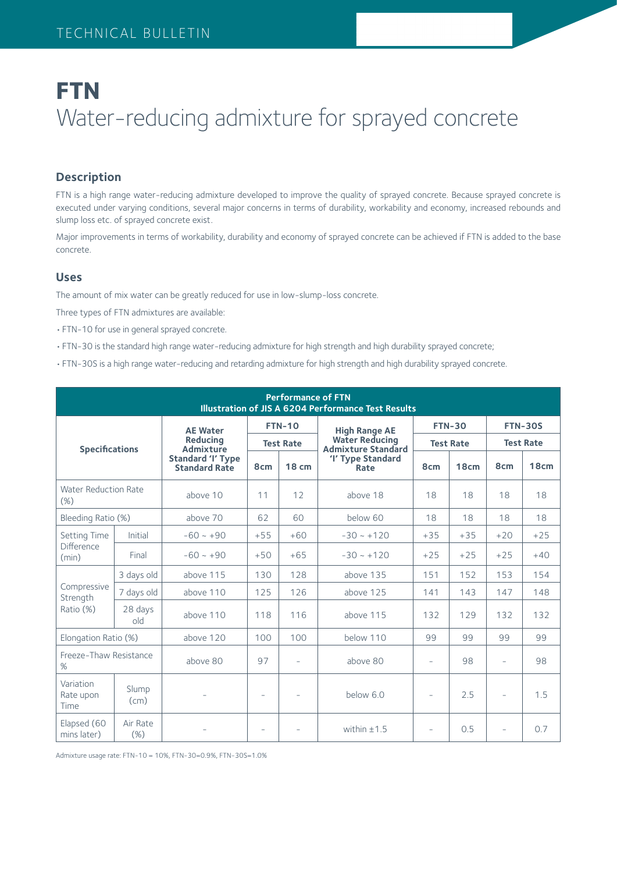# **FTN** Water-reducing admixture for sprayed concrete

## **Description**

FTN is a high range water-reducing admixture developed to improve the quality of sprayed concrete. Because sprayed concrete is executed under varying conditions, several major concerns in terms of durability, workability and economy, increased rebounds and slump loss etc. of sprayed concrete exist.

Major improvements in terms of workability, durability and economy of sprayed concrete can be achieved if FTN is added to the base concrete.

#### **Uses**

The amount of mix water can be greatly reduced for use in low-slump-loss concrete.

Three types of FTN admixtures are available:

- •FTN-10 for use in general sprayed concrete.
- •FTN-30 is the standard high range water-reducing admixture for high strength and high durability sprayed concrete;
- •FTN-30S is a high range water-reducing and retarding admixture for high strength and high durability sprayed concrete.

| <b>Performance of FTN</b><br><b>Illustration of JIS A 6204 Performance Test Results</b> |                 |                                                  |                                   |              |                                                    |                                   |       |                                    |       |  |  |  |
|-----------------------------------------------------------------------------------------|-----------------|--------------------------------------------------|-----------------------------------|--------------|----------------------------------------------------|-----------------------------------|-------|------------------------------------|-------|--|--|--|
|                                                                                         |                 | <b>AE Water</b>                                  | <b>FTN-10</b><br><b>Test Rate</b> |              | <b>High Range AE</b>                               | <b>FTN-30</b><br><b>Test Rate</b> |       | <b>FTN-30S</b><br><b>Test Rate</b> |       |  |  |  |
| <b>Specifications</b>                                                                   |                 | <b>Reducing</b><br>Admixture                     |                                   |              | <b>Water Reducing</b><br><b>Admixture Standard</b> |                                   |       |                                    |       |  |  |  |
|                                                                                         |                 | <b>Standard 'I' Type</b><br><b>Standard Rate</b> | 8 <sub>cm</sub>                   | <b>18 cm</b> | 'I' Type Standard<br>Rate                          | 8 <sub>cm</sub>                   | 18cm  | 8 <sub>cm</sub>                    | 18cm  |  |  |  |
| <b>Water Reduction Rate</b><br>(%)                                                      |                 | above 10                                         | 11                                | 12           | above 18                                           | 18                                | 18    | 18                                 | 18    |  |  |  |
| Bleeding Ratio (%)                                                                      |                 | above 70                                         | 62                                | 60           | below 60                                           | 18                                | 18    | 18                                 | 18    |  |  |  |
| Setting Time                                                                            | Initial         | $-60 - +90$                                      | $+55$                             | $+60$        | $-30 - +120$                                       | $+35$                             | $+35$ | $+20$                              | $+25$ |  |  |  |
| Difference<br>(min)                                                                     | Final           | $-60 - +90$                                      | $+50$                             | $+65$        | $-30 - 120$                                        | $+25$                             | $+25$ | $+25$                              | $+40$ |  |  |  |
|                                                                                         | 3 days old      | above 115                                        | 130                               | 128          | above 135                                          | 151                               | 152   | 153                                | 154   |  |  |  |
| Compressive<br>Strength                                                                 | 7 days old      | above 110                                        | 125                               | 126          | above 125                                          | 141                               | 143   | 147                                | 148   |  |  |  |
| Ratio (%)                                                                               | 28 days<br>old  | above 110                                        | 118                               | 116          | above 115                                          | 132                               | 129   | 132                                | 132   |  |  |  |
| Elongation Ratio (%)                                                                    |                 | above 120                                        | 100                               | 100          | below 110                                          | 99                                | 99    | 99                                 | 99    |  |  |  |
| Freeze-Thaw Resistance<br>%                                                             |                 | above 80                                         | 97                                | ÷            | above 80                                           | $\equiv$                          | 98    | $\overline{\phantom{a}}$           | 98    |  |  |  |
| Variation<br>Rate upon<br>Time                                                          | Slump<br>(cm)   |                                                  | $\overline{\phantom{0}}$          |              | below 6.0                                          | $\equiv$                          | 2.5   | $\overline{\phantom{a}}$           | 1.5   |  |  |  |
| Elapsed (60<br>mins later)                                                              | Air Rate<br>(%) |                                                  |                                   |              | within $±1.5$                                      | $\overline{\phantom{a}}$          | 0.5   |                                    | 0.7   |  |  |  |

Admixture usage rate: FTN-10 = 10%, FTN-30=0.9%, FTN-30S=1.0%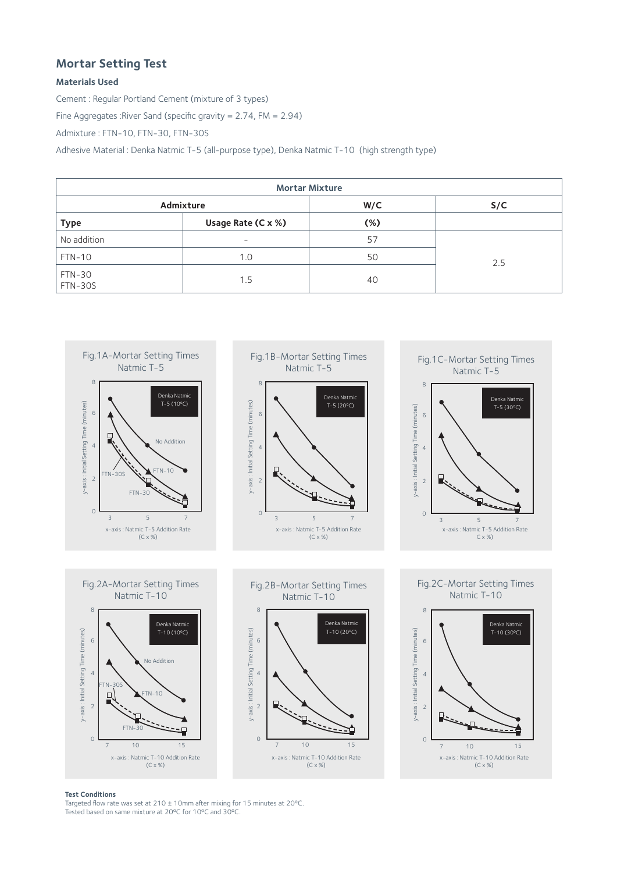## **Mortar Setting Test**

#### **Materials Used**

Cement : Regular Portland Cement (mixture of 3 types)

Fine Aggregates :River Sand (specific gravity = 2.74, FM = 2.94)

Admixture : FTN-10, FTN-30, FTN-30S

Adhesive Material : Denka Natmic T-5 (all-purpose type), Denka Natmic T-10 (high strength type)

| <b>Mortar Mixture</b>    |                    |        |     |  |  |  |  |  |  |  |
|--------------------------|--------------------|--------|-----|--|--|--|--|--|--|--|
|                          | Admixture          | W/C    | S/C |  |  |  |  |  |  |  |
| <b>Type</b>              | Usage Rate (C x %) | $(\%)$ |     |  |  |  |  |  |  |  |
| No addition              | -                  | 57     |     |  |  |  |  |  |  |  |
| $FTN-10$                 | 1.0                | 50     | 2.5 |  |  |  |  |  |  |  |
| FTN-30<br><b>FTN-30S</b> | 1.5                | 40     |     |  |  |  |  |  |  |  |



#### **Test Conditions**

Targeted flow rate was set at 210 ± 10mm after mixing for 15 minutes at 20ºC. Tested based on same mixture at 20ºC for 10ºC and 30ºC.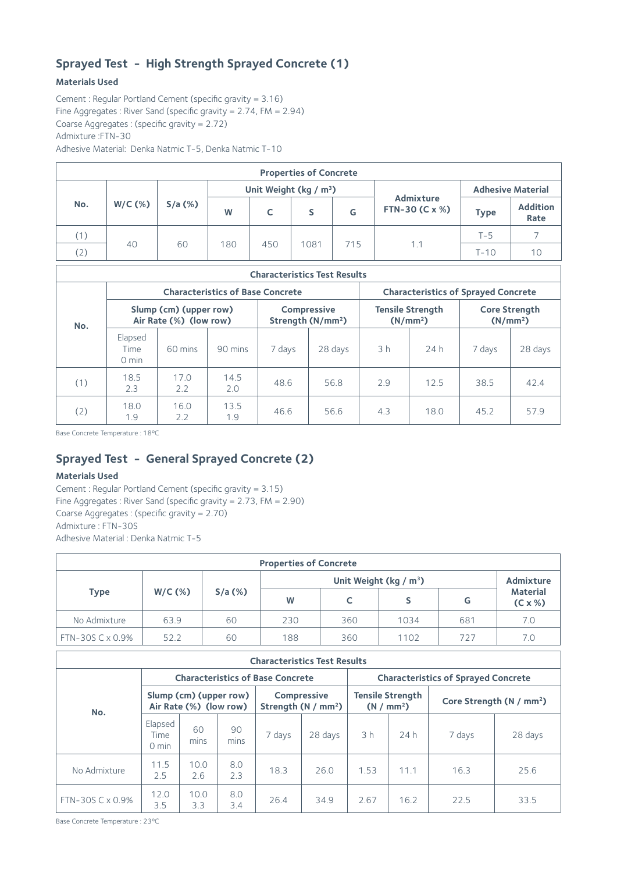## **Sprayed Test - High Strength Sprayed Concrete (1)**

#### **Materials Used**

Cement : Regular Portland Cement (specific gravity = 3.16) Fine Aggregates : River Sand (specific gravity =  $2.74$ , FM =  $2.94$ ) Coarse Aggregates : (specific gravity = 2.72) Admixture :FTN-30 Adhesive Material: Denka Natmic T-5, Denka Natmic T-10

| <b>Properties of Concrete</b> |           |           |     |     |                                    |     |                                |                          |                         |  |  |  |
|-------------------------------|-----------|-----------|-----|-----|------------------------------------|-----|--------------------------------|--------------------------|-------------------------|--|--|--|
|                               |           |           |     |     | Unit Weight (kg / m <sup>3</sup> ) |     |                                | <b>Adhesive Material</b> |                         |  |  |  |
| No.                           | $W/C$ (%) | $S/a$ (%) | W   |     |                                    | G   | Admixture<br>FTN-30 ( $Cx %$ ) | <b>Type</b>              | <b>Addition</b><br>Rate |  |  |  |
| (1)                           |           |           |     |     |                                    |     |                                | $T-5$                    |                         |  |  |  |
| (2)                           | 40        | 60        | 180 | 450 | 1081                               | 715 | 1.1                            | $T-10$                   | 10                      |  |  |  |

| <b>Characteristics Test Results</b> |                                                  |             |                                         |        |                                                     |                |                                                 |                                              |         |  |  |  |
|-------------------------------------|--------------------------------------------------|-------------|-----------------------------------------|--------|-----------------------------------------------------|----------------|-------------------------------------------------|----------------------------------------------|---------|--|--|--|
| No.                                 |                                                  |             | <b>Characteristics of Base Concrete</b> |        | <b>Characteristics of Sprayed Concrete</b>          |                |                                                 |                                              |         |  |  |  |
|                                     | Slump (cm) (upper row)<br>Air Rate (%) (low row) |             |                                         |        | <b>Compressive</b><br>Strength (N/mm <sup>2</sup> ) |                | <b>Tensile Strength</b><br>(N/mm <sup>2</sup> ) | <b>Core Strength</b><br>(N/mm <sup>2</sup> ) |         |  |  |  |
|                                     | Elapsed<br><b>Time</b><br>$0 \text{ min}$        | 60 mins     | 90 mins                                 | 7 days | 28 days                                             | 3 <sub>h</sub> | 24h                                             | 7 days                                       | 28 days |  |  |  |
| (1)                                 | 18.5<br>2.3                                      | 17.0<br>2.2 | 14.5<br>2.0                             | 48.6   | 56.8                                                | 2.9            | 12.5                                            | 38.5                                         | 42.4    |  |  |  |
| (2)                                 | 18.0<br>1.9                                      | 16.0<br>2.2 | 13.5<br>1.9                             | 46.6   | 56.6                                                | 4.3            | 18.0                                            | 45.2                                         | 57.9    |  |  |  |

Base Concrete Temperature : 18ºC

## **Sprayed Test - General Sprayed Concrete (2)**

### **Materials Used**

Cement : Regular Portland Cement (specific gravity = 3.15) Fine Aggregates : River Sand (specific gravity = 2.73, FM = 2.90) Coarse Aggregates : (specific gravity = 2.70) Admixture : FTN-30S Adhesive Material : Denka Natmic T-5

| <b>Properties of Concrete</b> |           |           |     |     |           |     |                                    |  |  |  |  |
|-------------------------------|-----------|-----------|-----|-----|-----------|-----|------------------------------------|--|--|--|--|
|                               |           |           |     |     | Admixture |     |                                    |  |  |  |  |
| <b>Type</b>                   | $W/C$ (%) | $S/a$ (%) | W   |     |           | G   | <b>Material</b><br>$(C \times \%)$ |  |  |  |  |
| No Admixture                  | 63.9      | 60        | 230 | 360 | 1034      | 681 | 7.0                                |  |  |  |  |
| FTN-30S C x 0.9%              | 522       | 60        | 188 | 360 | 1102      | 727 | 7.0                                |  |  |  |  |

| <b>Characteristics Test Results</b> |                                                  |             |            |                                            |         |                                            |                                                   |                                      |         |  |  |  |
|-------------------------------------|--------------------------------------------------|-------------|------------|--------------------------------------------|---------|--------------------------------------------|---------------------------------------------------|--------------------------------------|---------|--|--|--|
| No.                                 |                                                  |             |            | <b>Characteristics of Base Concrete</b>    |         | <b>Characteristics of Sprayed Concrete</b> |                                                   |                                      |         |  |  |  |
|                                     | Slump (cm) (upper row)<br>Air Rate (%) (low row) |             |            | <b>Compressive</b><br>Strength $(N / mm2)$ |         |                                            | <b>Tensile Strength</b><br>(N / mm <sup>2</sup> ) | Core Strength (N / mm <sup>2</sup> ) |         |  |  |  |
|                                     | Elapsed<br>Time<br>$0 \text{ min}$               | 60<br>mins  | 90<br>mins | 7 days                                     | 28 days | 3 h                                        | 24h                                               | 7 days                               | 28 days |  |  |  |
| No Admixture                        | 11.5<br>2.5                                      | 10.0<br>2.6 | 8.0<br>2.3 | 18.3                                       | 26.0    | 1.53                                       | 11.1                                              | 16.3                                 | 25.6    |  |  |  |
| FTN-30S C x 0.9%                    | 12.0<br>3.5                                      | 10.0<br>3.3 | 8.0<br>3.4 | 26.4                                       | 34.9    | 2.67                                       | 16.2                                              | 22.5                                 | 33.5    |  |  |  |

Base Concrete Temperature : 23ºC